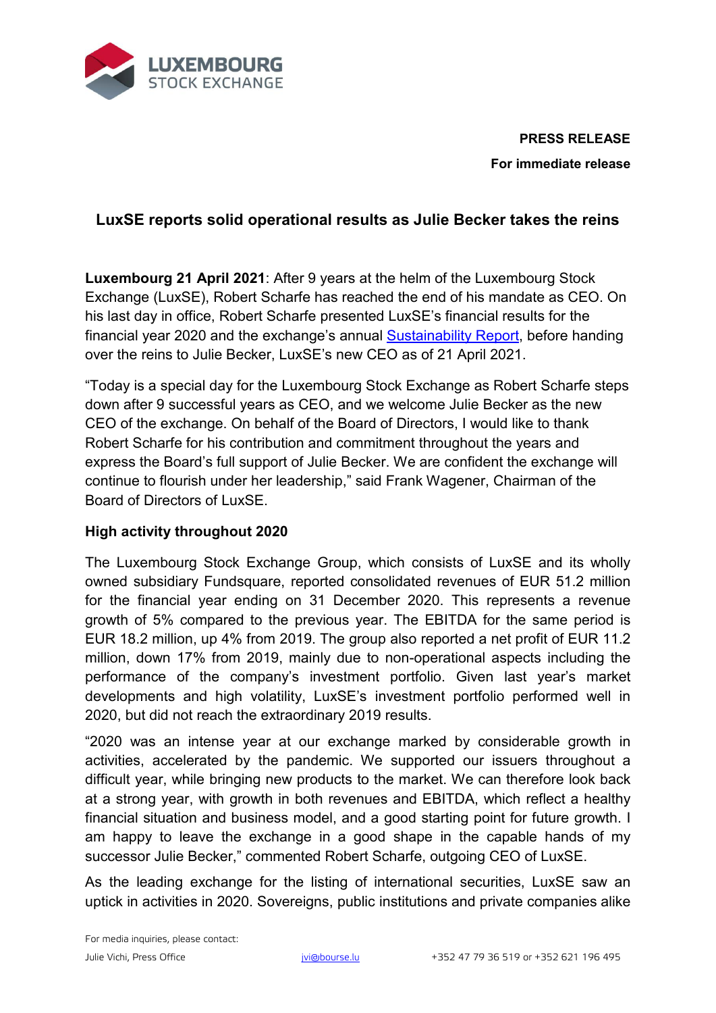

**PRESS RELEASE For immediate release**

# **LuxSE reports solid operational results as Julie Becker takes the reins**

**Luxembourg 21 April 2021**: After 9 years at the helm of the Luxembourg Stock Exchange (LuxSE), Robert Scharfe has reached the end of his mandate as CEO. On his last day in office, Robert Scharfe presented LuxSE's financial results for the financial year 2020 and the exchange's annual [Sustainability Report,](https://www.bourse.lu/csr) before handing over the reins to Julie Becker, LuxSE's new CEO as of 21 April 2021.

"Today is a special day for the Luxembourg Stock Exchange as Robert Scharfe steps down after 9 successful years as CEO, and we welcome Julie Becker as the new CEO of the exchange. On behalf of the Board of Directors, I would like to thank Robert Scharfe for his contribution and commitment throughout the years and express the Board's full support of Julie Becker. We are confident the exchange will continue to flourish under her leadership," said Frank Wagener, Chairman of the Board of Directors of LuxSE.

## **High activity throughout 2020**

The Luxembourg Stock Exchange Group, which consists of LuxSE and its wholly owned subsidiary Fundsquare, reported consolidated revenues of EUR 51.2 million for the financial year ending on 31 December 2020. This represents a revenue growth of 5% compared to the previous year. The EBITDA for the same period is EUR 18.2 million, up 4% from 2019. The group also reported a net profit of EUR 11.2 million, down 17% from 2019, mainly due to non-operational aspects including the performance of the company's investment portfolio. Given last year's market developments and high volatility, LuxSE's investment portfolio performed well in 2020, but did not reach the extraordinary 2019 results.

"2020 was an intense year at our exchange marked by considerable growth in activities, accelerated by the pandemic. We supported our issuers throughout a difficult year, while bringing new products to the market. We can therefore look back at a strong year, with growth in both revenues and EBITDA, which reflect a healthy financial situation and business model, and a good starting point for future growth. I am happy to leave the exchange in a good shape in the capable hands of my successor Julie Becker," commented Robert Scharfe, outgoing CEO of LuxSE.

As the leading exchange for the listing of international securities, LuxSE saw an uptick in activities in 2020. Sovereigns, public institutions and private companies alike